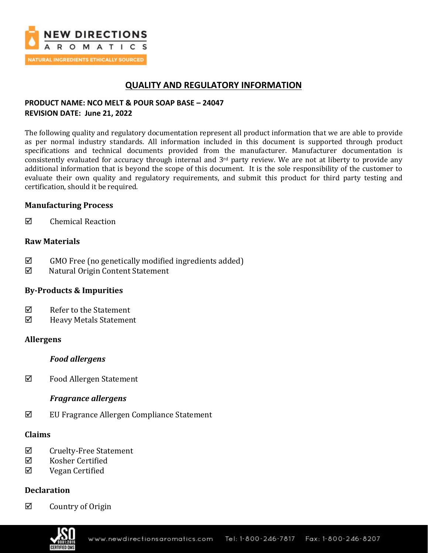

# **QUALITY AND REGULATORY INFORMATION**

## **PRODUCT NAME: NCO MELT & POUR SOAP BASE – 24047 REVISION DATE: June 21, 2022**

The following quality and regulatory documentation represent all product information that we are able to provide as per normal industry standards. All information included in this document is supported through product specifications and technical documents provided from the manufacturer. Manufacturer documentation is consistently evaluated for accuracy through internal and  $3<sup>rd</sup>$  party review. We are not at liberty to provide any additional information that is beyond the scope of this document. It is the sole responsibility of the customer to evaluate their own quality and regulatory requirements, and submit this product for third party testing and certification, should it be required.

## **Manufacturing Process**

 $\boxtimes$  Chemical Reaction

## **Raw Materials**

- $\boxtimes$  GMO Free (no genetically modified ingredients added)
- Natural Origin Content Statement

## **By-Products & Impurities**

- $\boxtimes$  Refer to the Statement
- Heavy Metals Statement

### **Allergens**

### *Food allergens*

 $\boxtimes$  Food Allergen Statement

## *Fragrance allergens*

 $\boxtimes$  EU Fragrance Allergen Compliance Statement

### **Claims**

- $\boxtimes$  Cruelty-Free Statement
- $\boxtimes$  Kosher Certified
- Vegan Certified

## **Declaration**

 $\boxtimes$  Country of Origin

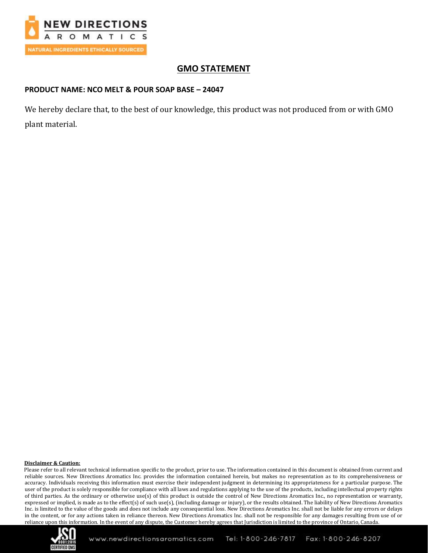

# **GMO STATEMENT**

### **PRODUCT NAME: NCO MELT & POUR SOAP BASE – 24047**

We hereby declare that, to the best of our knowledge, this product was not produced from or with GMO plant material.

### **Disclaimer & Caution:**

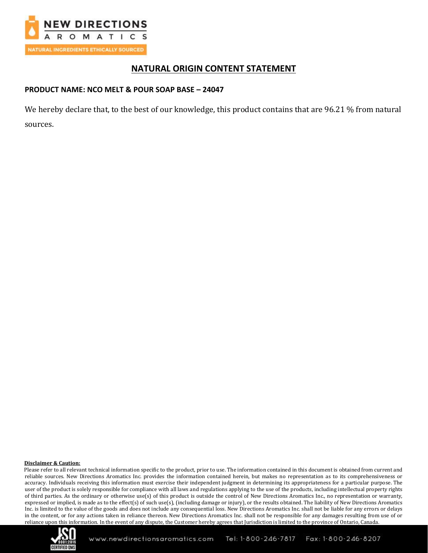

# **NATURAL ORIGIN CONTENT STATEMENT**

### **PRODUCT NAME: NCO MELT & POUR SOAP BASE – 24047**

We hereby declare that, to the best of our knowledge, this product contains that are 96.21 % from natural sources.

### **Disclaimer & Caution:**

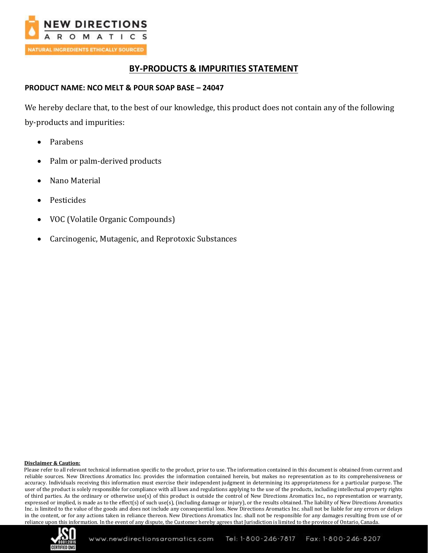

# **BY-PRODUCTS & IMPURITIES STATEMENT**

### **PRODUCT NAME: NCO MELT & POUR SOAP BASE – 24047**

We hereby declare that, to the best of our knowledge, this product does not contain any of the following by-products and impurities:

- Parabens
- Palm or palm-derived products
- Nano Material
- **Pesticides**
- VOC (Volatile Organic Compounds)
- Carcinogenic, Mutagenic, and Reprotoxic Substances

### **Disclaimer & Caution:**

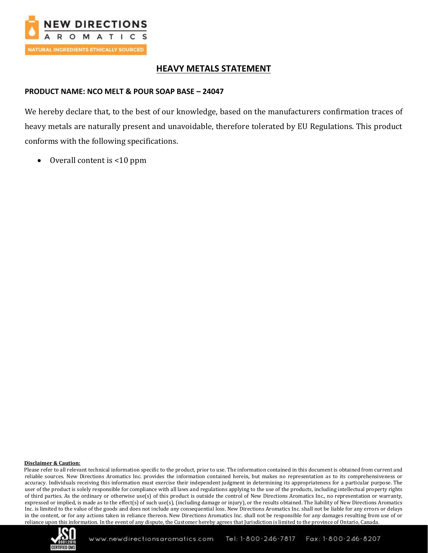

# **HEAVY METALS STATEMENT**

## **PRODUCT NAME: NCO MELT & POUR SOAP BASE – 24047**

We hereby declare that, to the best of our knowledge, based on the manufacturers confirmation traces of heavy metals are naturally present and unavoidable, therefore tolerated by EU Regulations. This product conforms with the following specifications.

• Overall content is <10 ppm

### **Disclaimer & Caution:**

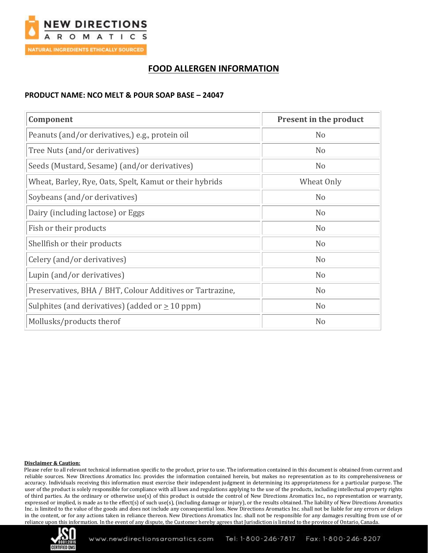

# **FOOD ALLERGEN INFORMATION**

## **PRODUCT NAME: NCO MELT & POUR SOAP BASE – 24047**

| Component                                                 | <b>Present in the product</b> |
|-----------------------------------------------------------|-------------------------------|
| Peanuts (and/or derivatives,) e.g., protein oil           | N <sub>o</sub>                |
| Tree Nuts (and/or derivatives)                            | N <sub>o</sub>                |
| Seeds (Mustard, Sesame) (and/or derivatives)              | N <sub>o</sub>                |
| Wheat, Barley, Rye, Oats, Spelt, Kamut or their hybrids   | Wheat Only                    |
| Soybeans (and/or derivatives)                             | N <sub>o</sub>                |
| Dairy (including lactose) or Eggs                         | N <sub>o</sub>                |
| Fish or their products                                    | N <sub>o</sub>                |
| Shellfish or their products                               | N <sub>o</sub>                |
| Celery (and/or derivatives)                               | N <sub>o</sub>                |
| Lupin (and/or derivatives)                                | N <sub>o</sub>                |
| Preservatives, BHA / BHT, Colour Additives or Tartrazine, | N <sub>o</sub>                |
| Sulphites (and derivatives) (added or $\geq 10$ ppm)      | N <sub>o</sub>                |
| Mollusks/products therof                                  | N <sub>o</sub>                |

### **Disclaimer & Caution:**

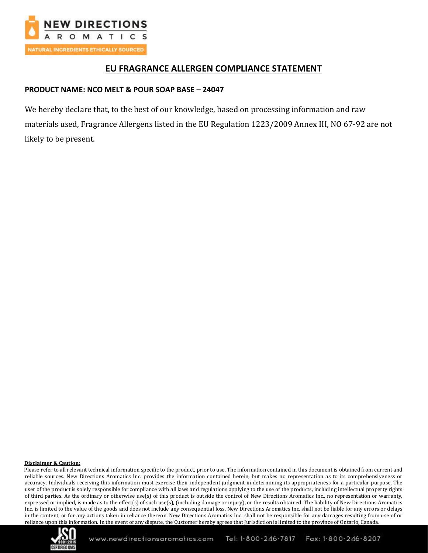

# **EU FRAGRANCE ALLERGEN COMPLIANCE STATEMENT**

## **PRODUCT NAME: NCO MELT & POUR SOAP BASE – 24047**

We hereby declare that, to the best of our knowledge, based on processing information and raw materials used, Fragrance Allergens listed in the EU Regulation 1223/2009 Annex III, NO 67-92 are not likely to be present.

### **Disclaimer & Caution:**

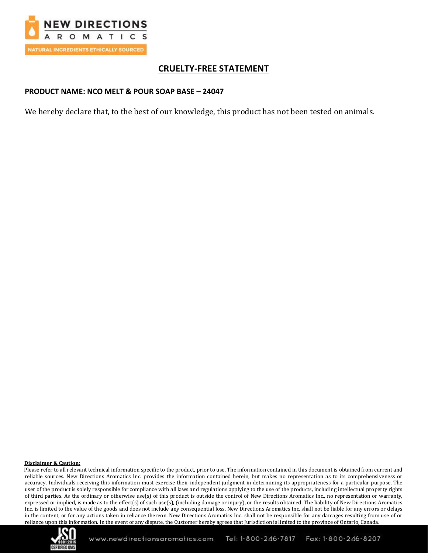

# **CRUELTY-FREE STATEMENT**

### **PRODUCT NAME: NCO MELT & POUR SOAP BASE – 24047**

We hereby declare that, to the best of our knowledge, this product has not been tested on animals.

### **Disclaimer & Caution:**

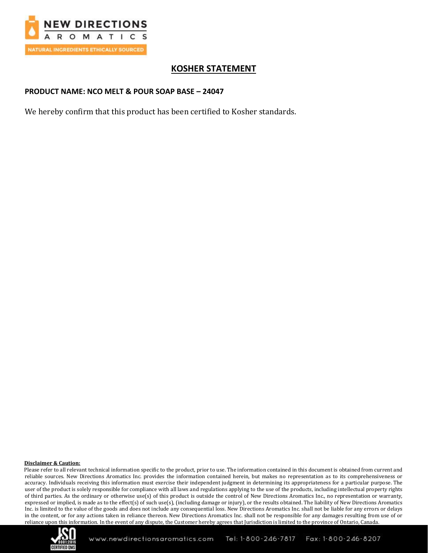

# **KOSHER STATEMENT**

## **PRODUCT NAME: NCO MELT & POUR SOAP BASE – 24047**

We hereby confirm that this product has been certified to Kosher standards.

### **Disclaimer & Caution:**

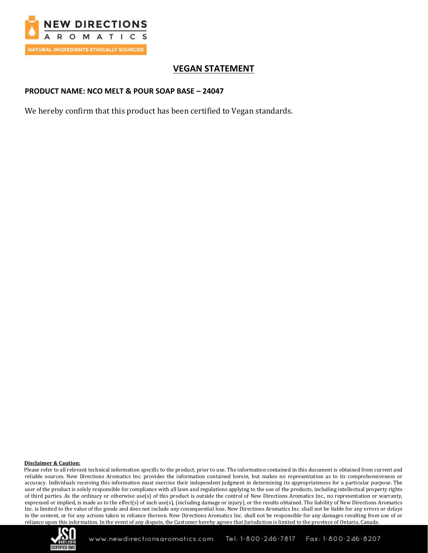

# **VEGAN STATEMENT**

### **PRODUCT NAME: NCO MELT & POUR SOAP BASE – 24047**

We hereby confirm that this product has been certified to Vegan standards.

### **Disclaimer & Caution:**